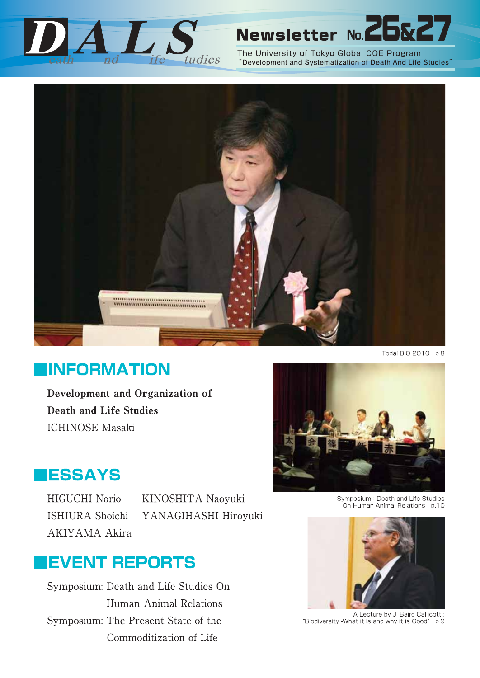

# Newsletter No. 2

The University of Tokyo Global COE Program "Development and Systematization of Death And Life Studies"



Todai BIO 2010 p.8

# **IINFORMATION**

Development and Organization of **Death and Life Studies ICHINOSE Masaki** 



**IESSAYS** 

HIGUCHI Norio **ISHIURA** Shoichi **AKIYAMA Akira**  KINOSHITA Naoyuki YANAGIHASHI Hiroyuki

# **IEVENT REPORTS**

Symposium: Death and Life Studies On Human Animal Relations Symposium: The Present State of the Commoditization of Life

Symposium: Death and Life Studies On Human Animal Relations p.10



A Lecture by J. Baird Callicott: "Biodiversity - What it is and why it is Good" p.9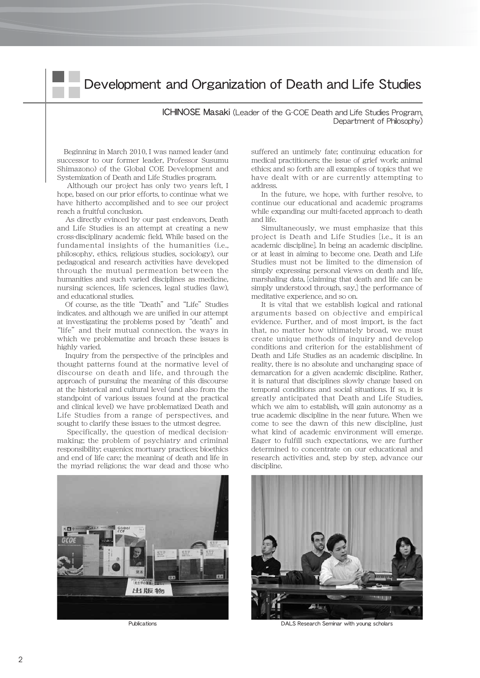### Development and Organization of Death and Life Studies

ICHINOSE Masaki (Leader of the G-COE Death and Life Studies Program, Department of Philosophy)

Beginning in March 2010, I was named leader (and successor to our former leader, Professor Susumu Shimazono) of the Global COE Development and Systemization of Death and Life Studies program.

Although our project has only two years left, I hope, based on our prior efforts, to continue what we have hitherto accomplished and to see our project reach a fruitful conclusion.

As directly evinced by our past endeavors, Death and Life Studies is an attempt at creating a new cross-disciplinary academic field. While based on the fundamental insights of the humanities (i.e., philosophy, ethics, religious studies, sociology), our pedagogical and research activities have developed through the mutual permeation between the humanities and such varied disciplines as medicine, nursing sciences, life sciences, legal studies (law), and educational studies.

Of course, as the title "Death" and "Life" Studies indicates. and although we are unified in our attempt at investigating the problems posed by "death" and "life" and their mutual connection. the ways in which we problematize and broach these issues is highly varied.

Inquiry from the perspective of the principles and thought patterns found at the normative level of discourse on death and life, and through the approach of pursuing the meaning of this discourse at the historical and cultural level (and also from the standpoint of various issues found at the practical and clinical level) we have problematized Death and Life Studies from a range of perspectives, and sought to clarify these issues to the utmost degree.

Specifically, the question of medical decisionmaking; the problem of psychiatry and criminal responsibility; eugenics; mortuary practices; bioethics and end of life care; the meaning of death and life in the myriad religions; the war dead and those who



suffered an untimely fate; continuing education for medical practitioners; the issue of grief work; animal ethics; and so forth are all examples of topics that we have dealt with or are currently attempting to address.

In the future, we hope, with further resolve, to continue our educational and academic programs while expanding our multi-faceted approach to death and life.

Simultaneously, we must emphasize that this project is Death and Life Studies [i.e., it is an academic discipline]. In being an academic discipline. or at least in aiming to become one. Death and Life Studies must not be limited to the dimension of simply expressing personal views on death and life, marshaling data, [claiming that death and life can be simply understood through, say,] the performance of meditative experience, and so on.

It is vital that we establish logical and rational arguments based on objective and empirical evidence. Further, and of most import, is the fact that, no matter how ultimately broad, we must create unique methods of inquiry and develop conditions and criterion for the establishment of Death and Life Studies as an academic discipline. In reality, there is no absolute and unchanging space of demarcation for a given academic discipline. Rather, it is natural that disciplines slowly change based on temporal conditions and social situations. If so, it is greatly anticipated that Death and Life Studies, which we aim to establish, will gain autonomy as a true academic discipline in the near future. When we come to see the dawn of this new discipline, just what kind of academic environment will emerge. Eager to fulfill such expectations, we are further determined to concentrate on our educational and research activities and, step by step, advance our discipline.



Publications DALS Research Seminar with young scholars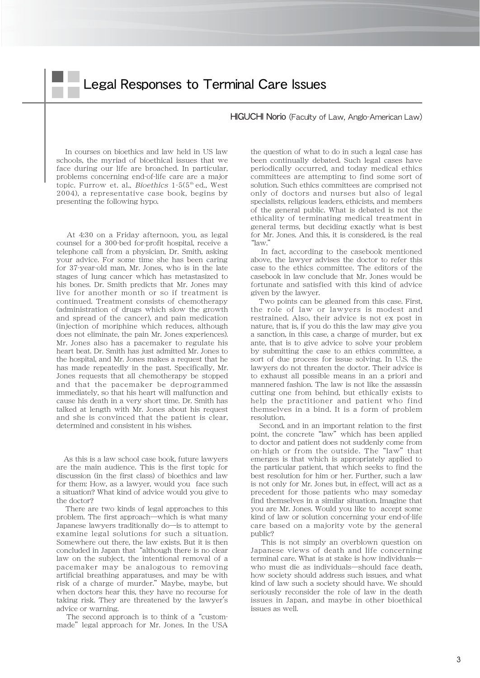HIGUCHI Norio (Faculty of Law, Anglo-American Law)

In courses on bioethics and law held in US law schools, the myriad of bioethical issues that we face during our life are broached. In particular, problems concerning end-of-life care are a major topic. Furrow et. al., *Bioethics*  $1-5(5<sup>th</sup>$  ed., West 2004), a representative case book, begins by presenting the following hypo.

At 4:30 on a Friday afternoon, you, as legal counsel for a 300-bed for-profit hospital, receive a telephone call from a physician, Dr. Smith, asking your advice. For some time she has been caring for 37-year-old man, Mr. Jones, who is in the late stages of lung cancer which has metastasized to his bones. Dr. Smith predicts that Mr. Jones may live for another month or so if treatment is continued. Treatment consists of chemotherapy (administration of drugs which slow the growth and spread of the cancer), and pain medication (injection of moriphine which reduces, although does not eliminate, the pain Mr. Jones experiences). Mr. Jones also has a pacemaker to regulate his heart beat. Dr. Smith has just admitted Mr. Jones to the hospital, and Mr. Jones makes a request that he has made repeatedly in the past. Specifically, Mr. Jones requests that all chemotherapy be stopped and that the pacemaker be deprogrammed immediately, so that his heart will malfunction and cause his death in a very short time. Dr. Smith has talked at length with Mr. Jones about his request and she is convinced that the patient is clear, determined and consistent in his wishes.

As this is a law school case book, future lawyers are the main audience. This is the first topic for discussion (in the first class) of bioethics and law for them: How, as a lawyer, would you face such a situation? What kind of advice would you give to the doctor?

There are two kinds of legal approaches to this problem. The first approach―which is what many Japanese lawyers traditionally do―is to attempt to examine legal solutions for such a situation. Somewhere out there, the law exists. But it is then concluded in Japan that"although there is no clear law on the subject, the intentional removal of a pacemaker may be analogous to removing artificial breathing apparatuses, and may be with risk of a charge of murder."Maybe, maybe, but when doctors hear this, they have no recourse for taking risk. They are threatened by the lawyer's advice or warning.

The second approach is to think of a"custommade" legal approach for Mr. Jones. In the USA

the question of what to do in such a legal case has been continually debated. Such legal cases have periodically occurred, and today medical ethics committees are attempting to find some sort of solution. Such ethics committees are comprised not only of doctors and nurses but also of legal specialists, religious leaders, ethicists, and members of the general public. What is debated is not the ethicality of terminating medical treatment in general terms, but deciding exactly what is best for Mr. Jones. And this, it is considered, is the real "law."

In fact, according to the casebook mentioned above, the lawyer advises the doctor to refer this case to the ethics committee. The editors of the casebook in law conclude that Mr. Jones would be fortunate and satisfied with this kind of advice given by the lawyer.

Two points can be gleaned from this case. First, the role of law or lawyers is modest and restrained. Also, their advice is not ex post in nature, that is, if you do this the law may give you a sanction, in this case, a charge of murder, but ex ante, that is to give advice to solve your problem by submitting the case to an ethics committee, a sort of due process for issue solving. In U.S. the lawyers do not threaten the doctor. Their advice is to exhaust all possible means in an a priori and mannered fashion. The law is not like the assassin cutting one from behind, but ethically exists to help the practitioner and patient who find themselves in a bind. It is a form of problem resolution.

Second, and in an important relation to the first point, the concrete "law" which has been applied to doctor and patient does not suddenly come from on-high or from the outside. The "law" that emerges is that which is appropriately applied to the particular patient, that which seeks to find the best resolution for him or her. Further, such a law is not only for Mr. Jones but, in effect, will act as a precedent for those patients who may someday find themselves in a similar situation. Imagine that you are Mr. Jones. Would you like to accept some kind of law or solution concerning your end-of-life care based on a majority vote by the general public?

This is not simply an overblown question on Japanese views of death and life concerning terminal care. What is at stake is how individuals― who must die as individuals―should face death, how society should address such issues, and what kind of law such a society should have. We should seriously reconsider the role of law in the death issues in Japan, and maybe in other bioethical issues as well.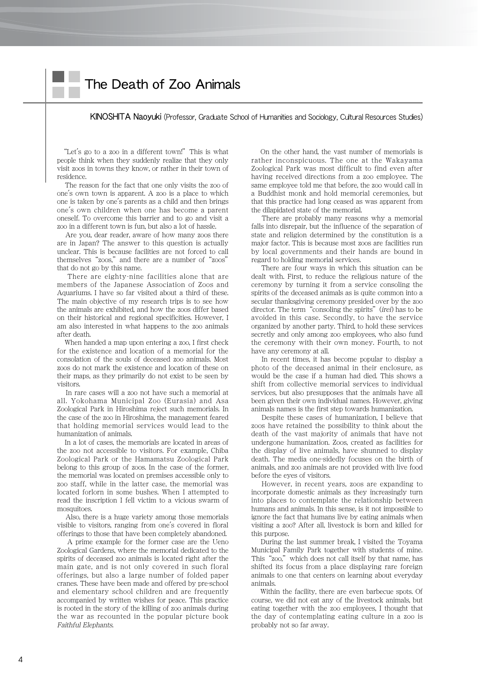# The Death of Zoo Animals

KINOSHITA Naoyuki (Professor, Graduate School of Humanities and Sociology, Cultural Resources Studies)

"Let's go to a zoo in a different town!" This is what people think when they suddenly realize that they only visit zoos in towns they know, or rather in their town of residence.

The reason for the fact that one only visits the zoo of one's own town is apparent. A zoo is a place to which one is taken by one's parents as a child and then brings one's own children when one has become a parent oneself. To overcome this barrier and to go and visit a zoo in a different town is fun, but also a lot of hassle.

Are you, dear reader, aware of how many zoos there are in Japan? The answer to this question is actually unclear. This is because facilities are not forced to call themselves "zoos," and there are a number of "zoos" that do not go by this name.

There are eighty-nine facilities alone that are members of the Japanese Association of Zoos and Aquariums. I have so far visited about a third of these. The main objective of my research trips is to see how the animals are exhibited, and how the zoos differ based on their historical and regional specificities. However, I am also interested in what happens to the zoo animals after death.

When handed a map upon entering a zoo, I first check for the existence and location of a memorial for the consolation of the souls of deceased zoo animals. Most zoos do not mark the existence and location of these on their maps, as they primarily do not exist to be seen by visitors.

In rare cases will a zoo not have such a memorial at all. Yokohama Municipal Zoo (Eurasia) and Asa Zoological Park in Hiroshima reject such memorials. In the case of the zoo in Hiroshima, the management feared that holding memorial services would lead to the humanization of animals.

In a lot of cases, the memorials are located in areas of the zoo not accessible to visitors. For example, Chiba Zoological Park or the Hamamatsu Zoological Park belong to this group of zoos. In the case of the former, the memorial was located on premises accessible only to zoo staff, while in the latter case, the memorial was located forlorn in some bushes. When I attempted to read the inscription I fell victim to a vicious swarm of mosquitoes.

Also, there is a huge variety among those memorials visible to visitors, ranging from one's covered in floral offerings to those that have been completely abandoned.

A prime example for the former case are the Ueno Zoological Gardens, where the memorial dedicated to the spirits of deceased zoo animals is located right after the main gate, and is not only covered in such floral offerings, but also a large number of folded paper cranes. These have been made and offered by pre-school and elementary school children and are frequently accompanied by written wishes for peace. This practice is rooted in the story of the killing of zoo animals during the war as recounted in the popular picture book Faithful Elephants.

On the other hand, the vast number of memorials is rather inconspicuous. The one at the Wakayama Zoological Park was most difficult to find even after having received directions from a zoo employee. The same employee told me that before, the zoo would call in a Buddhist monk and hold memorial ceremonies, but that this practice had long ceased as was apparent from the dilapidated state of the memorial.

There are probably many reasons why a memorial falls into disrepair, but the influence of the separation of state and religion determined by the constitution is a major factor. This is because most zoos are facilities run by local governments and their hands are bound in regard to holding memorial services.

There are four ways in which this situation can be dealt with. First, to reduce the religious nature of the ceremony by turning it from a service consoling the spirits of the deceased animals as is quite common into a secular thanksgiving ceremony presided over by the zoo director. The term "consoling the spirits" (*irei*) has to be avoided in this case. Secondly, to have the service organized by another party. Third, to hold these services secretly and only among zoo employees, who also fund the ceremony with their own money. Fourth, to not have any ceremony at all.

In recent times, it has become popular to display a photo of the deceased animal in their enclosure, as would be the case if a human had died. This shows a shift from collective memorial services to individual services, but also presupposes that the animals have all been given their own individual names. However, giving animals names is the first step towards humanization.

Despite these cases of humanization, I believe that zoos have retained the possibility to think about the death of the vast majority of animals that have not undergone humanization. Zoos, created as facilities for the display of live animals, have shunned to display death. The media one-sidedly focuses on the birth of animals, and zoo animals are not provided with live food before the eyes of visitors.

However, in recent years, zoos are expanding to incorporate domestic animals as they increasingly turn into places to contemplate the relationship between humans and animals. In this sense, is it not impossible to ignore the fact that humans live by eating animals when visiting a zoo? After all, livestock is born and killed for this purpose.

During the last summer break, I visited the Toyama Municipal Family Park together with students of mine. This "zoo," which does not call itself by that name, has shifted its focus from a place displaying rare foreign animals to one that centers on learning about everyday animals.

Within the facility, there are even barbecue spots. Of course, we did not eat any of the livestock animals, but eating together with the zoo employees, I thought that the day of contemplating eating culture in a zoo is probably not so far away.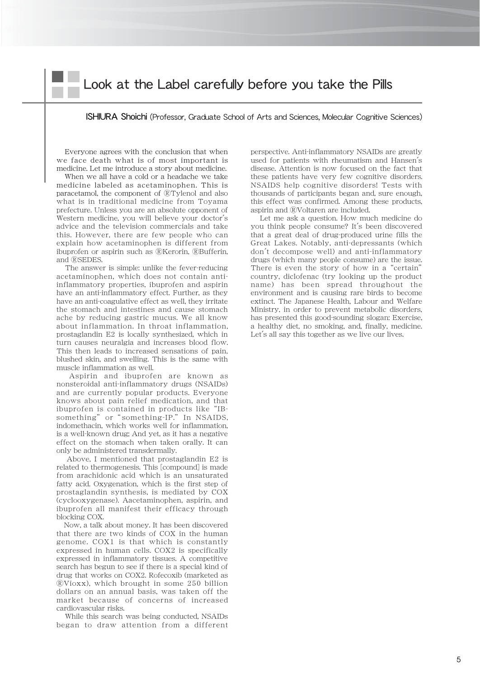### Look at the Label carefully before you take the Pills

### ISHIURA Shoichi (Professor, Graduate School of Arts and Sciences, Molecular Cognitive Sciences)

Everyone agrees with the conclusion that when we face death what is of most important is medicine. Let me introduce a story about medicine.

When we all have a cold or a headache we take medicine labeled as acetaminophen. This is paracetamol, the component of ®Tylenol and also what is in traditional medicine from Toyama prefecture. Unless you are an absolute opponent of Western medicine, you will believe your doctor's advice and the television commercials and take this. However, there are few people who can explain how acetaminophen is different from ibuprofen or aspirin such as ®Kerorin, ®Bufferin, and ®SEDES.

The answer is simple: unlike the fever-reducing acetaminophen, which does not contain antiinflammatory properties, ibuprofen and aspirin have an anti-inflammatory effect. Further, as they have an anti-coagulative effect as well, they irritate the stomach and intestines and cause stomach ache by reducing gastric mucus. We all know about inflammation. In throat inflammation, prostaglandin E2 is locally synthesized, which in turn causes neuralgia and increases blood flow. This then leads to increased sensations of pain blushed skin, and swelling. This is the same with muscle inflammation as well.

Aspirin and ibuprofen are known as nonsteroidal anti-inflammatory drugs (NSAIDs) and are currently popular products. Everyone knows about pain relief medication, and that ibuprofen is contained in products like"IBsomething" or "something-IP." In NSAIDS, indomethacin, which works well for inflammation, is a well-known drug; And yet, as it has a negative effect on the stomach when taken orally. It can only be administered transdermally.

Above, I mentioned that prostaglandin E2 is related to thermogenesis. This [compound] is made from arachidonic acid which is an unsaturated fatty acid. Oxygenation, which is the first step of prostaglandin synthesis, is mediated by COX (cyclooxygenase). Aacetaminophen, aspirin, and ibuprofen all manifest their efficacy through blocking COX.

Now, a talk about money. It has been discovered that there are two kinds of COX in the human genome. COX1 is that which is constantly expressed in human cells. COX2 is specifically expressed in inflammatory tissues. A competitive search has begun to see if there is a special kind of drug that works on COX2. Rofecoxib (marketed as -Vioxx), which brought in some 250 billion dollars on an annual basis, was taken off the market because of concerns of increased cardiovascular risks.

While this search was being conducted, NSAIDs began to draw attention from a different perspective. Anti-inflammatory NSAIDs are greatly used for patients with rheumatism and Hansen's disease. Attention is now focused on the fact that these patients have very few cognitive disorders. NSAIDS help cognitive disorders! Tests with thousands of participants began and, sure enough, this effect was confirmed. Among these products, aspirin and ®Voltaren are included.

Let me ask a question. How much medicine do you think people consume? It's been discovered that a great deal of drug-produced urine fills the Great Lakes. Notably, anti-depressants (which don't decompose well) and anti-inflammatory drugs (which many people consume) are the issue. There is even the story of how in a "certain" country, diclofenac (try looking up the product name) has been spread throughout the environment and is causing rare birds to become extinct. The Japanese Health, Labour and Welfare Ministry, in order to prevent metabolic disorders, has presented this good-sounding slogan: Exercise, a healthy diet, no smoking, and, finally, medicine. Let's all say this together as we live our lives.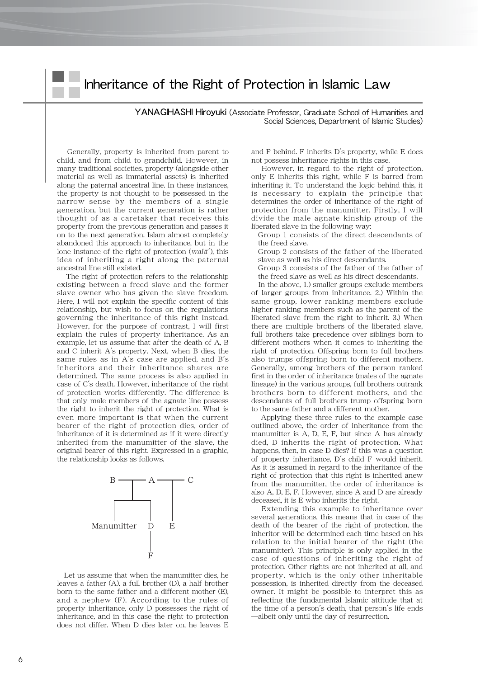### Inheritance of the Right of Protection in Islamic Law

YANAGIHASHI Hiroyuki (Associate Professor, Graduate School of Humanities and Social Sciences, Department of Islamic Studies)

Generally, property is inherited from parent to child, and from child to grandchild. However, in many traditional societies, property (alongside other material as well as immaterial assets) is inherited along the paternal ancestral line. In these instances, the property is not thought to be possessed in the narrow sense by the members of a single generation, but the current generation is rather thought of as a caretaker that receives this property from the previous generation and passes it on to the next generation. Islam almost completely abandoned this approach to inheritance, but in the lone instance of the right of protection (wal $\bar{a}'$ ), this idea of inheriting a right along the paternal ancestral line still existed.

The right of protection refers to the relationship existing between a freed slave and the former slave owner who has given the slave freedom. Here, I will not explain the specific content of this relationship, but wish to focus on the regulations governing the inheritance of this right instead. However, for the purpose of contrast, I will first explain the rules of property inheritance. As an example, let us assume that after the death of A, B and C inherit A's property. Next, when B dies, the same rules as in A's case are applied, and B's inheritors and their inheritance shares are determined. The same process is also applied in case of C's death. However, inheritance of the right of protection works differently. The difference is that only male members of the agnate line possess the right to inherit the right of protection. What is even more important is that when the current bearer of the right of protection dies, order of inheritance of it is determined as if it were directly inherited from the manumitter of the slave, the original bearer of this right. Expressed in a graphic, the relationship looks as follows.



Let us assume that when the manumitter dies, he leaves a father (A), a full brother (D), a half brother born to the same father and a different mother (E), and a nephew (F). According to the rules of property inheritance, only D possesses the right of inheritance, and in this case the right to protection does not differ. When D dies later on, he leaves E

and F behind. F inherits D's property, while E does not possess inheritance rights in this case.

However, in regard to the right of protection, only E inherits this right, while F is barred from inheriting it. To understand the logic behind this, it is necessary to explain the principle that determines the order of inheritance of the right of protection from the manumitter. Firstly, I will divide the male agnate kinship group of the liberated slave in the following way:

Group 1 consists of the direct descendants of the freed slave.

Group 2 consists of the father of the liberated slave as well as his direct descendants.

Group 3 consists of the father of the father of the freed slave as well as his direct descendants.

In the above, 1.) smaller groups exclude members of larger groups from inheritance. 2.) Within the same group, lower ranking members exclude higher ranking members such as the parent of the liberated slave from the right to inherit. 3.) When there are multiple brothers of the liberated slave, full brothers take precedence over siblings born to different mothers when it comes to inheriting the right of protection. Offspring born to full brothers also trumps offspring born to different mothers. Generally, among brothers of the person ranked first in the order of inheritance (males of the agnate lineage) in the various groups, full brothers outrank brothers born to different mothers, and the descendants of full brothers trump offspring born to the same father and a different mother.

Applying these three rules to the example case outlined above, the order of inheritance from the manumitter is A, D, E, F, but since A has already died, D inherits the right of protection. What happens, then, in case D dies? If this was a question of property inheritance, D's child F would inherit. As it is assumed in regard to the inheritance of the right of protection that this right is inherited anew from the manumitter, the order of inheritance is also A, D, E, F. However, since A and D are already deceased, it is E who inherits the right.

Extending this example to inheritance over several generations, this means that in case of the death of the bearer of the right of protection, the inheritor will be determined each time based on his relation to the initial bearer of the right (the manumitter). This principle is only applied in the case of questions of inheriting the right of protection. Other rights are not inherited at all, and property, which is the only other inheritable possession, is inherited directly from the deceased owner. It might be possible to interpret this as reflecting the fundamental Islamic attitude that at the time of a person's death, that person's life ends ―albeit only until the day of resurrection.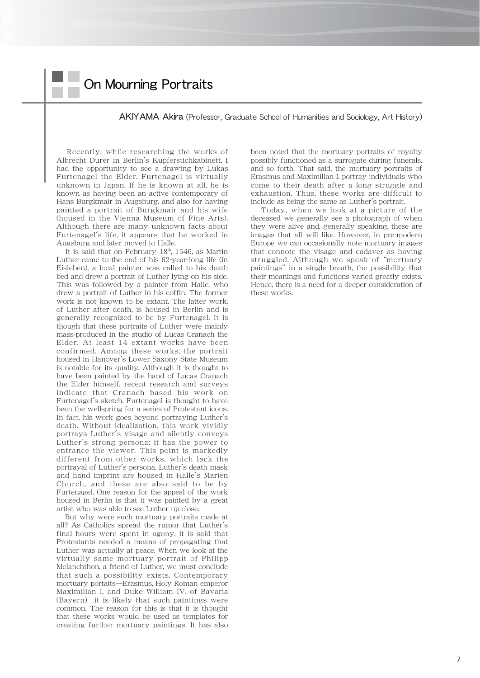# On Mourning Portraits

### AKIYAMA Akira (Professor, Graduate School of Humanities and Sociology, Art History)

Recently, while researching the works of Albrecht Durer in Berlin's Kupferstichkabinett, I had the opportunity to see a drawing by Lukas Furtenagel the Elder. Furtenagel is virtually unknown in Japan. If he is known at all, he is known as having been an active contemporary of Hans Burgkmair in Augsburg, and also for having painted a portrait of Burgkmair and his wife (housed in the Vienna Museum of Fine Arts). Although there are many unknown facts about Furtenagel's life, it appears that he worked in Augsburg and later moved to Halle.

It is said that on February  $18<sup>th</sup>$ ,  $1546$ , as Martin Luther came to the end of his 62-year-long life (in Eisleben), a local painter was called to his death bed and drew a portrait of Luther lying on his side. This was followed by a painter from Halle, who drew a portrait of Luther in his coffin. The former work is not known to be extant. The latter work, of Luther after death, is housed in Berlin and is generally recognized to be by Furtenagel. It is though that these portraits of Luther were mainly mass-produced in the studio of Lucas Cranach the Elder. At least 14 extant works have been confirmed. Among these works, the portrait housed in Hanover's Lower Saxony State Museum is notable for its quality. Although it is thought to have been painted by the hand of Lucas Cranach the Elder himself, recent research and surveys indicate that Cranach based his work on Furtenagel's sketch. Furtenagel is thought to have been the wellspring for a series of Protestant icons. In fact, his work goes beyond portraying Luther's death. Without idealization, this work vividly portrays Luther's visage and silently conveys Luther's strong persona: it has the power to entrance the viewer. This point is markedly different from other works, which lack the portrayal of Luther's persona. Luther's death mask and hand imprint are housed in Halle's Marien Church, and these are also said to be by Furtenagel. One reason for the appeal of the work housed in Berlin is that it was painted by a great artist who was able to see Luther up close.

But why were such mortuary portraits made at all? As Catholics spread the rumor that Luther's final hours were spent in agony, it is said that Protestants needed a means of propagating that Luther was actually at peace. When we look at the virtually same mortuary portrait of Philipp Melanchthon, a friend of Luther, we must conclude that such a possibility exists. Contemporary mortuary portaits―Erasmus, Holy Roman emperor Maximilian I, and Duke William IV. of Bavaria (Bayern)―it is likely that such paintings were common. The reason for this is that it is thought that these works would be used as templates for creating further mortuary paintings. It has also been noted that the mortuary portraits of royalty possibly functioned as a surrogate during funerals, and so forth. That said, the mortuary portraits of Erasmus and Maximilian I. portray individuals who come to their death after a long struggle and exhaustion. Thus, these works are difficult to include as being the same as Luther's portrait.

Today, when we look at a picture of the deceased we generally see a photograph of when they were alive and, generally speaking, these are images that all will like. However, in pre-modern Europe we can occasionally note mortuary images that connote the visage and cadaver as having struggled. Although we speak of "mortuary" paintings"in a single breath, the possibility that their meanings and functions varied greatly exists. Hence, there is a need for a deeper consideration of these works.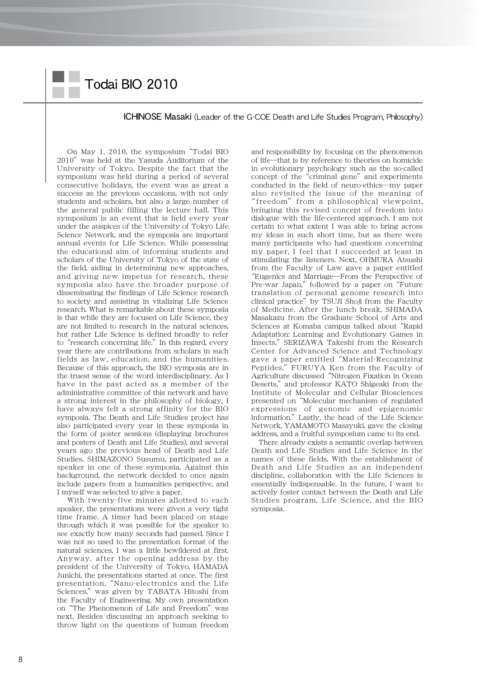# Todai BIO 2010

### ICHINOSE Masaki (Leader of the G-COE Death and Life Studies Program, Philosophy)

On May 1, 2010, the symposium"Todai BIO 2010" was held at the Yasuda Auditorium of the University of Tokyo. Despite the fact that the symposium was held during a period of several consecutive holidays, the event was as great a success as the previous occasions, with not only students and scholars, but also a large number of the general public filling the lecture hall. This symposium is an event that is held every year under the auspices of the University of Tokyo Life Science Network, and the symposia are important annual events for Life Science. While possessing the educational aim of informing students and scholars of the University of Tokyo of the state of the field, aiding in determining new approaches, and giving new impetus for research, these symposia also have the broader purpose of disseminating the findings of Life Science research to society and assisting in vitalizing Life Science research. What is remarkable about these symposia is that while they are focused on Life Science, they are not limited to research in the natural sciences, but rather Life Science is defined broadly to refer to "research concerning life." In this regard, every year there are contributions from scholars in such fields as law, education, and the humanities. Because of this approach, the BIO symposia are in the truest sense of the word interdisciplinary. As I have in the past acted as a member of the administrative committee of this network and have a strong interest in the philosophy of biology, I have always felt a strong affinity for the BIO symposia. The Death and Life Studies project has also participated every year in these symposia in the form of poster sessions (displaying brochures and posters of Death and Life Studies), and several years ago the previous head of Death and Life Studies, SHIMAZONO Susumu, participated as a speaker in one of these symposia. Against this background, the network decided to once again include papers from a humanities perspective, and I myself was selected to give a paper.

With twenty-five minutes allotted to each speaker, the presentations were given a very tight time frame. A timer had been placed on stage through which it was possible for the speaker to see exactly how many seconds had passed. Since I was not so used to the presentation format of the natural sciences, I was a little bewildered at first. Anyway, after the opening address by the president of the University of Tokyo, HAMADA Junichi, the presentations started at once. The first presentation,"Nano-electronics and the Life Sciences,"was given by TABATA Hitoshi from the Faculty of Engineering. My own presentation on "The Phenomenon of Life and Freedom" was next. Besides discussing an approach seeking to throw light on the questions of human freedom and responsibility by focusing on the phenomenon of life―that is by reference to theories on homicide in evolutionary psychology such as the so-called concept of the "criminal gene" and experiments conducted in the field of neuro-ethics―my paper also revisited the issue of the meaning of "freedom" from a philosophical viewpoint, bringing this revised concept of freedom into dialogue with the life-centered approach. I am not certain to what extent I was able to bring across my ideas in such short time, but as there were many participants who had questions concerning my paper, I feel that I succeeded at least in stimulating the listeners. Next, OHMURA Atsushi from the Faculty of Law gave a paper entitled "Eugenics and Marriage―From the Perspective of Pre-war Japan," followed by a paper on "Future translation of personal genome research into clinical practice" by TSUJI Shoji from the Faculty of Medicine. After the lunch break, SHIMADA Masakazu from the Graduate School of Arts and Sciences at Komaba campus talked about "Rapid Adaptation: Learning and Evolutionary Games in Insects,"SERIZAWA Takeshi from the Research Center for Advanced Science and Technology gave a paper entitled"Material-Recognizing Peptides," FURUYA Ken from the Faculty of Agriculture discussed"Nitrogen Fixation in Ocean Deserts,"and professor KATO Shigeaki from the Institute of Molecular and Cellular Biosciences presented on"Molecular mechanism of regulated expressions of genomic and epigenomic information."Lastly, the head of the Life Science Network, YAMAMOTO Masayuki, gave the closing address, and a fruitful symposium came to its end.

There already exists a semantic overlap between Death and Life Studies and Life Science in the names of these fields. With the establishment of Death and Life Studies as an independent discipline, collaboration with the Life Sciences is essentially indispensable. In the future, I want to actively foster contact between the Death and Life Studies program, Life Science, and the BIO symposia.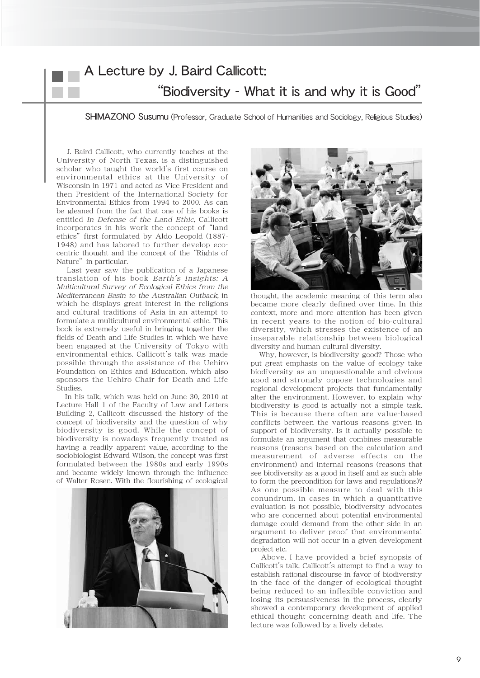# A Lecture by J. Baird Callicott: "Biodiversity - What it is and why it is Good"

SHIMAZONO Susumu (Professor, Graduate School of Humanities and Sociology, Religious Studies)

J. Baird Callicott, who currently teaches at the University of North Texas, is a distinguished scholar who taught the world's first course on environmental ethics at the University of Wisconsin in 1971 and acted as Vice President and then President of the International Society for Environmental Ethics from 1994 to 2000. As can be gleaned from the fact that one of his books is entitled In Defense of the Land Ethic, Callicott incorporates in his work the concept of "land ethics" first formulated by Aldo Leopold (1887-1948) and has labored to further develop ecocentric thought and the concept of the"Rights of Nature" in particular.

Last year saw the publication of a Japanese translation of his book Earth's Insights: A Multicultural Survey of Ecological Ethics from the Mediterranean Basin to the Australian Outback, in which he displays great interest in the religions and cultural traditions of Asia in an attempt to formulate a multicultural environmental ethic. This book is extremely useful in bringing together the fields of Death and Life Studies in which we have been engaged at the University of Tokyo with environmental ethics. Callicott's talk was made possible through the assistance of the Uehiro Foundation on Ethics and Education, which also sponsors the Uehiro Chair for Death and Life Studies.

In his talk, which was held on June 30, 2010 at Lecture Hall 1 of the Faculty of Law and Letters Building 2, Callicott discussed the history of the concept of biodiversity and the question of why biodiversity is good. While the concept of biodiversity is nowadays frequently treated as having a readily apparent value, according to the sociobiologist Edward Wilson, the concept was first formulated between the 1980s and early 1990s and became widely known through the influence of Walter Rosen. With the flourishing of ecological





thought, the academic meaning of this term also became more clearly defined over time. In this context, more and more attention has been given in recent years to the notion of bio-cultural diversity, which stresses the existence of an inseparable relationship between biological diversity and human cultural diversity.

Why, however, is biodiversity good? Those who put great emphasis on the value of ecology take biodiversity as an unquestionable and obvious good and strongly oppose technologies and regional development projects that fundamentally alter the environment. However, to explain why biodiversity is good is actually not a simple task. This is because there often are value-based conflicts between the various reasons given in support of biodiversity. Is it actually possible to formulate an argument that combines measurable reasons (reasons based on the calculation and measurement of adverse effects on the environment) and internal reasons (reasons that see biodiversity as a good in itself and as such able to form the precondition for laws and regulations)? As one possible measure to deal with this conundrum, in cases in which a quantitative evaluation is not possible, biodiversity advocates who are concerned about potential environmental damage could demand from the other side in an argument to deliver proof that environmental degradation will not occur in a given development project etc.

Above, I have provided a brief synopsis of Callicott's talk. Callicott's attempt to find a way to establish rational discourse in favor of biodiversity in the face of the danger of ecological thought being reduced to an inflexible conviction and losing its persuasiveness in the process, clearly showed a contemporary development of applied ethical thought concerning death and life. The lecture was followed by a lively debate.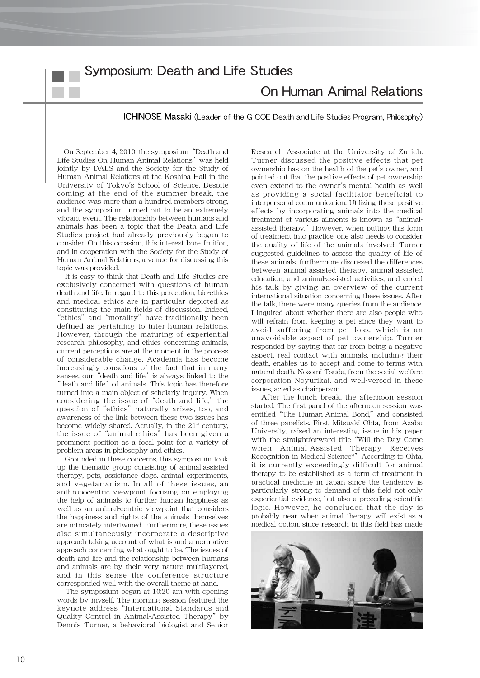## Symposium: Death and Life Studies

### On Human Animal Relations

ICHINOSE Masaki (Leader of the G-COE Death and Life Studies Program, Philosophy)

On September 4, 2010, the symposium"Death and Life Studies On Human Animal Relations" was held jointly by DALS and the Society for the Study of Human Animal Relations at the Koshiba Hall in the University of Tokyo's School of Science. Despite coming at the end of the summer break, the audience was more than a hundred members strong, and the symposium turned out to be an extremely vibrant event. The relationship between humans and animals has been a topic that the Death and Life Studies project had already previously begun to consider. On this occasion, this interest bore fruition, and in cooperation with the Society for the Study of Human Animal Relations, a venue for discussing this topic was provided.

It is easy to think that Death and Life Studies are exclusively concerned with questions of human death and life. In regard to this perception, bio-ethics and medical ethics are in particular depicted as constituting the main fields of discussion. Indeed, "ethics"and"morality"have traditionally been defined as pertaining to inter-human relations. However, through the maturing of experiential research, philosophy, and ethics concerning animals, current perceptions are at the moment in the process of considerable change. Academia has become increasingly conscious of the fact that in many senses, our "death and life" is always linked to the "death and life" of animals. This topic has therefore turned into a main object of scholarly inquiry. When considering the issue of "death and life," the question of "ethics" naturally arises, too, and awareness of the link between these two issues has become widely shared. Actually, in the  $21<sup>st</sup>$  century, the issue of"animal ethics"has been given a prominent position as a focal point for a variety of problem areas in philosophy and ethics.

Grounded in these concerns, this symposium took up the thematic group consisting of animal-assisted therapy, pets, assistance dogs, animal experiments, and vegetarianism. In all of these issues, an anthropocentric viewpoint focusing on employing the help of animals to further human happiness as well as an animal-centric viewpoint that considers the happiness and rights of the animals themselves are intricately intertwined. Furthermore, these issues also simultaneously incorporate a descriptive approach taking account of what is and a normative approach concerning what ought to be. The issues of death and life and the relationship between humans and animals are by their very nature multilayered, and in this sense the conference structure corresponded well with the overall theme at hand.

The symposium began at 10:20 am with opening words by myself. The morning session featured the keynote address"International Standards and Quality Control in Animal-Assisted Therapy"by Dennis Turner, a behavioral biologist and Senior

Research Associate at the University of Zurich. Turner discussed the positive effects that pet ownership has on the health of the pet's owner, and pointed out that the positive effects of pet ownership even extend to the owner's mental health as well as providing a social facilitator beneficial to interpersonal communication. Utilizing these positive effects by incorporating animals into the medical treatment of various ailments is known as"animalassisted therapy."However, when putting this form of treatment into practice, one also needs to consider the quality of life of the animals involved. Turner suggested guidelines to assess the quality of life of these animals, furthermore discussed the differences between animal-assisted therapy, animal-assisted education, and animal-assisted activities, and ended his talk by giving an overview of the current international situation concerning these issues. After the talk, there were many queries from the audience. I inquired about whether there are also people who will refrain from keeping a pet since they want to avoid suffering from pet loss, which is an unavoidable aspect of pet ownership. Turner responded by saying that far from being a negative aspect, real contact with animals, including their death, enables us to accept and come to terms with natural death. Nozomi Tsuda, from the social welfare corporation Noyurikai, and well-versed in these issues, acted as chairperson.

After the lunch break, the afternoon session started. The first panel of the afternoon session was entitled"The Human-Animal Bond,"and consisted of three panelists. First, Mitsuaki Ohta, from Azabu University, raised an interesting issue in his paper with the straightforward title"Will the Day Come when Animal-Assisted Therapy Receives Recognition in Medical Science?" According to Ohta, it is currently exceedingly difficult for animal therapy to be established as a form of treatment in practical medicine in Japan since the tendency is particularly strong to demand of this field not only experiential evidence, but also a preceding scientific logic. However, he concluded that the day is probably near when animal therapy will exist as a medical option, since research in this field has made

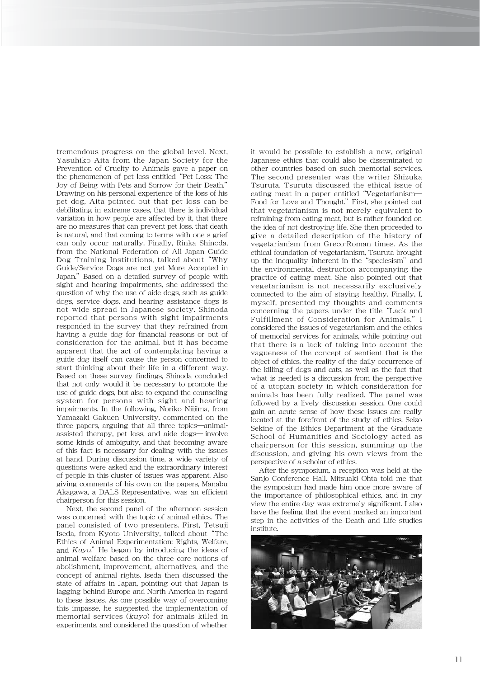tremendous progress on the global level. Next, Yasuhiko Aita from the Japan Society for the Prevention of Cruelty to Animals gave a paper on the phenomenon of pet loss entitled"Pet Loss: The Joy of Being with Pets and Sorrow for their Death." Drawing on his personal experience of the loss of his pet dog, Aita pointed out that pet loss can be debilitating in extreme cases, that there is individual variation in how people are affected by it, that there are no measures that can prevent pet loss, that death is natural, and that coming to terms with one s grief can only occur naturally. Finally, Rinka Shinoda, from the National Federation of All Japan Guide Dog Training Institutions, talked about"Why Guide/Service Dogs are not yet More Accepted in Japan." Based on a detailed survey of people with sight and hearing impairments, she addressed the question of why the use of aide dogs, such as guide dogs, service dogs, and hearing assistance dogs is not wide spread in Japanese society. Shinoda reported that persons with sight impairments responded in the survey that they refrained from having a guide dog for financial reasons or out of consideration for the animal, but it has become apparent that the act of contemplating having a guide dog itself can cause the person concerned to start thinking about their life in a different way. Based on these survey findings, Shinoda concluded that not only would it be necessary to promote the use of guide dogs, but also to expand the counseling system for persons with sight and hearing impairments. In the following, Noriko Niijima, from Yamazaki Gakuen University, commented on the three papers, arguing that all three topics―animalassisted therapy, pet loss, and aide dogs― involve some kinds of ambiguity, and that becoming aware of this fact is necessary for dealing with the issues at hand. During discussion time, a wide variety of questions were asked and the extraordinary interest of people in this cluster of issues was apparent. Also giving comments of his own on the papers, Manabu Akagawa, a DALS Representative, was an efficient chairperson for this session.

Next, the second panel of the afternoon session was concerned with the topic of animal ethics. The panel consisted of two presenters. First, Tetsuji Iseda, from Kyoto University, talked about "The Ethics of Animal Experimentation: Rights, Welfare, and Kuyo." He began by introducing the ideas of animal welfare based on the three core notions of abolishment, improvement, alternatives, and the concept of animal rights. Iseda then discussed the state of affairs in Japan, pointing out that Japan is lagging behind Europe and North America in regard to these issues. As one possible way of overcoming this impasse, he suggested the implementation of memorial services (kuyo) for animals killed in experiments, and considered the question of whether

it would be possible to establish a new, original Japanese ethics that could also be disseminated to other countries based on such memorial services. The second presenter was the writer Shizuka Tsuruta. Tsuruta discussed the ethical issue of eating meat in a paper entitled"Vegetarianism― Food for Love and Thought." First, she pointed out that vegetarianism is not merely equivalent to refraining from eating meat, but is rather founded on the idea of not destroying life. She then proceeded to give a detailed description of the history of vegetarianism from Greco-Roman times. As the ethical foundation of vegetarianism, Tsuruta brought up the inequality inherent in the"speciesism"and the environmental destruction accompanying the practice of eating meat. She also pointed out that vegetarianism is not necessarily exclusively connected to the aim of staying healthy. Finally, I, myself, presented my thoughts and comments concerning the papers under the title"Lack and Fulfillment of Consideration for Animals." I considered the issues of vegetarianism and the ethics of memorial services for animals, while pointing out that there is a lack of taking into account the vagueness of the concept of sentient that is the object of ethics, the reality of the daily occurrence of the killing of dogs and cats, as well as the fact that what is needed is a discussion from the perspective of a utopian society in which consideration for animals has been fully realized. The panel was followed by a lively discussion session. One could gain an acute sense of how these issues are really located at the forefront of the study of ethics. Seizo Sekine of the Ethics Department at the Graduate School of Humanities and Sociology acted as chairperson for this session, summing up the discussion, and giving his own views from the perspective of a scholar of ethics.

After the symposium, a reception was held at the Sanjo Conference Hall. Mitsuaki Ohta told me that the symposium had made him once more aware of the importance of philosophical ethics, and in my view the entire day was extremely significant. I also have the feeling that the event marked an important step in the activities of the Death and Life studies institute.

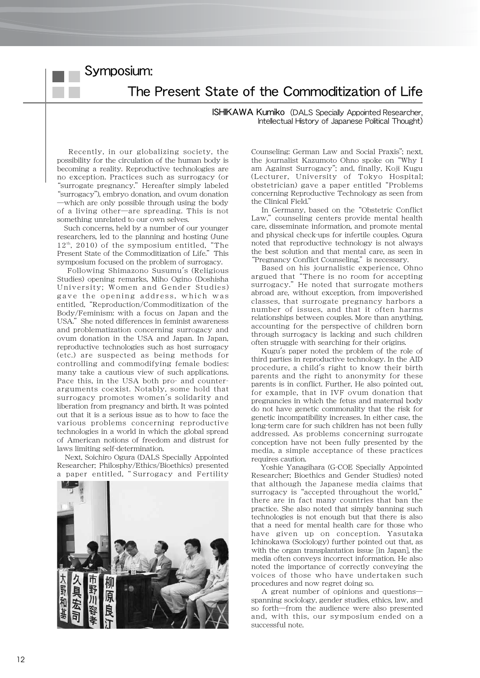Symposium:

The Present State of the Commoditization of Life

ISHIKAWA Kumiko (DALS Specially Appointed Researcher, Intellectual History of Japanese Political Thought)

Recently, in our globalizing society, the possibility for the circulation of the human body is becoming a reality. Reproductive technologies are no exception. Practices such as surrogacy (or "surrogate pregnancy." Hereafter simply labeled "surrogacy"), embryo donation, and ovum donation ―which are only possible through using the body of a living other―are spreading. This is not something unrelated to our own selves.

Such concerns, held by a number of our younger researchers, led to the planning and hosting (June  $12<sup>th</sup>$ , 2010) of the symposium entitled, "The Present State of the Commoditization of Life." This symposium focused on the problem of surrogacy.

Following Shimazono Susumu's (Religious Studies) opening remarks, Miho Ogino (Doshisha University; Women and Gender Studies) gave the opening address, which was entitled,"Reproduction/Commoditization of the Body/Feminism: with a focus on Japan and the USA." She noted differences in feminist awareness and problematization concerning surrogacy and ovum donation in the USA and Japan. In Japan, reproductive technologies such as host surrogacy (etc.) are suspected as being methods for controlling and commodifying female bodies: many take a cautious view of such applications. Pace this, in the USA both pro- and counterarguments coexist. Notably, some hold that surrogacy promotes women's solidarity and liberation from pregnancy and birth. It was pointed out that it is a serious issue as to how to face the various problems concerning reproductive technologies in a world in which the global spread of American notions of freedom and distrust for laws limiting self-determination.

Next, Soichiro Ogura (DALS Specially Appointed Researcher; Philosphy/Ethics/Bioethics) presented a paper entitled," Surrogacy and Fertility



Counseling: German Law and Social Praxis"; next, the journalist Kazumoto Ohno spoke on"Why I am Against Surrogacy"; and, finally, Koji Kugu (Lecturer, University of Tokyo Hospital; obstetrician) gave a paper entitled"Problems concerning Reproductive Technology as seen from the Clinical Field."

In Germany, based on the"Obstetric Conflict Law," counseling centers provide mental health care, disseminate information, and promote mental and physical check-ups for infertile couples. Ogura noted that reproductive technology is not always the best solution and that mental care, as seen in "Pregnancy Conflict Counseling," is necessary.

Based on his journalistic experience, Ohno argued that"There is no room for accepting surrogacy." He noted that surrogate mothers abroad are, without exception, from impoverished classes, that surrogate pregnancy harbors a number of issues, and that it often harms relationships between couples. More than anything, accounting for the perspective of children born through surrogacy is lacking and such children often struggle with searching for their origins.

Kugu's paper noted the problem of the role of third parties in reproductive technology. In the AID procedure, a child's right to know their birth parents and the right to anonymity for these parents is in conflict. Further, He also pointed out, for example, that in IVF ovum donation that pregnancies in which the fetus and maternal body do not have genetic commonality that the risk for genetic incompatibility increases. In either case, the long-term care for such children has not been fully addressed. As problems concerning surrogate conception have not been fully presented by the media, a simple acceptance of these practices requires caution.

Yoshie Yanagihara (G-COE Specially Appointed Researcher; Bioethics and Gender Studies) noted that although the Japanese media claims that surrogacy is "accepted throughout the world," there are in fact many countries that ban the practice. She also noted that simply banning such technologies is not enough but that there is also that a need for mental health care for those who have given up on conception. Yasutaka Ichinokawa (Sociology) further pointed out that, as with the organ transplantation issue [in Japan], the media often conveys incorrect information. He also noted the importance of correctly conveying the voices of those who have undertaken such procedures and now regret doing so.

A great number of opinions and questions― spanning sociology, gender studies, ethics, law, and so forth―from the audience were also presented and, with this, our symposium ended on a successful note.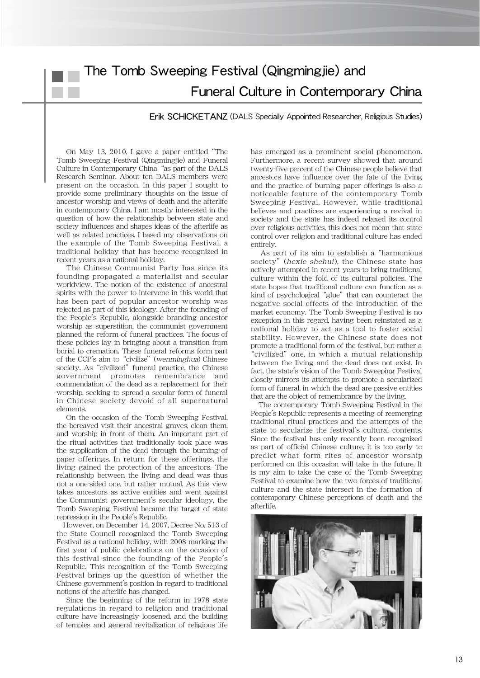# The Tomb Sweeping Festival (Qingmingjie) and Funeral Culture in Contemporary China

### Erik SCHICKETANZ (DALS Specially Appointed Researcher, Religious Studies)

On May 13, 2010, I gave a paper entitled"The Tomb Sweeping Festival (Qingmingjie) and Funeral Culture in Contemporary China"as part of the DALS Research Seminar. About ten DALS members were present on the occasion. In this paper I sought to provide some preliminary thoughts on the issue of ancestor worship and views of death and the afterlife in contemporary China. I am mostly interested in the question of how the relationship between state and society influences and shapes ideas of the afterlife as well as related practices. I based my observations on the example of the Tomb Sweeping Festival, a traditional holiday that has become recognized in recent years as a national holiday.

The Chinese Communist Party has since its founding propagated a materialist and secular worldview. The notion of the existence of ancestral spirits with the power to intervene in this world that has been part of popular ancestor worship was rejected as part of this ideology. After the founding of the People's Republic, alongside branding ancestor worship as superstition, the communist government planned the reform of funeral practices. The focus of these policies lay in bringing about a transition from burial to cremation. These funeral reforms form part of the CCP's aim to "civilize" (wenminghua) Chinese society. As "civilized" funeral practice, the Chinese government promotes remembrance and commendation of the dead as a replacement for their worship, seeking to spread a secular form of funeral in Chinese society devoid of all supernatural elements.

On the occasion of the Tomb Sweeping Festival, the bereaved visit their ancestral graves, clean them, and worship in front of them. An important part of the ritual activities that traditionally took place was the supplication of the dead through the burning of paper offerings. In return for these offerings, the living gained the protection of the ancestors. The relationship between the living and dead was thus not a one-sided one, but rather mutual. As this view takes ancestors as active entities and went against the Communist government's secular ideology, the Tomb Sweeping Festival became the target of state repression in the People's Republic.

However, on December 14, 2007, Decree No. 513 of the State Council recognized the Tomb Sweeping Festival as a national holiday, with 2008 marking the first year of public celebrations on the occasion of this festival since the founding of the People's Republic. This recognition of the Tomb Sweeping Festival brings up the question of whether the Chinese government's position in regard to traditional notions of the afterlife has changed.

Since the beginning of the reform in 1978 state regulations in regard to religion and traditional culture have increasingly loosened, and the building of temples and general revitalization of religious life has emerged as a prominent social phenomenon. Furthermore, a recent survey showed that around twenty-five percent of the Chinese people believe that ancestors have influence over the fate of the living and the practice of burning paper offerings is also a noticeable feature of the contemporary Tomb Sweeping Festival. However, while traditional believes and practices are experiencing a revival in society and the state has indeed relaxed its control over religious activities, this does not mean that state control over religion and traditional culture has ended entirely.

As part of its aim to establish a"harmonious society" (hexie shehui), the Chinese state has actively attempted in recent years to bring traditional culture within the fold of its cultural policies. The state hopes that traditional culture can function as a kind of psychological "glue" that can counteract the negative social effects of the introduction of the market economy. The Tomb Sweeping Festival is no exception in this regard, having been reinstated as a national holiday to act as a tool to foster social stability. However, the Chinese state does not promote a traditional form of the festival, but rather a "civilized"one, in which a mutual relationship between the living and the dead does not exist. In fact, the state's vision of the Tomb Sweeping Festival closely mirrors its attempts to promote a secularized form of funeral, in which the dead are passive entities that are the object of remembrance by the living.

The contemporary Tomb Sweeping Festival in the People's Republic represents a meeting of reemerging traditional ritual practices and the attempts of the state to secularize the festival's cultural contents. Since the festival has only recently been recognized as part of official Chinese culture, it is too early to predict what form rites of ancestor worship performed on this occasion will take in the future. It is my aim to take the case of the Tomb Sweeping Festival to examine how the two forces of traditional culture and the state intersect in the formation of contemporary Chinese perceptions of death and the afterlife.

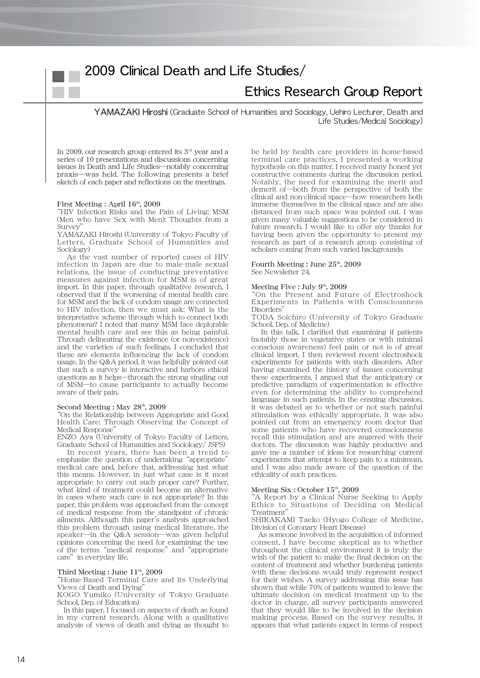## 2009 Clinical Death and Life Studies/

### Ethics Research Group Report

YAMAZAKI Hiroshi (Graduate School of Humanities and Sociology, Uehiro Lecturer, Death and Life Studies/Medical Sociology)

In 2009, our research group entered its  $3<sup>rd</sup>$  year and a series of 10 presentations and discussions concerning issues in Death and Life Studies―notably concerning praxis―was held. The following presents a brief sketch of each paper and reflections on the meetings.

### First Meeting : April 16<sup>th</sup>, 2009

"HIV Infection Risks and the Pain of Living: MSM (Men who have Sex with Men): Thoughts from a Survey<sup>"</sup>

YAMAZAKI Hiroshi (University of Tokyo Faculty of Letters, Graduate School of Humanities and Sociology)

As the vast number of reported cases of HIV infection in Japan are due to male-male sexual relations, the issue of conducting preventative measures against infection for MSM is of great import. In this paper, through qualitative research, I observed that if the worsening of mental health care for MSM and the lack of condom usage are connected to HIV infection, then we must ask: What is the interpretative scheme through which to connect both phenomena? I noted that many MSM face deplorable mental health care and see this as being painful. Through delineating the existence (or non-existence) and the varieties of such feelings, I concluded that these are elements influencing the lack of condom usage. In the Q&A period, it was helpfully pointed out that such a survey is interactive and harbors ethical questions as it helps―through the strong singling out of MSM―to cause participants to actually become aware of their pain.

#### Second Meeting : May  $28<sup>th</sup>$ , 2009

"On the Relationship between Appropriate and Good Health Care: Through Observing the Concept of Medical Response"

ENZO Aya (University of Tokyo Faculty of Letters, Graduate School of Humanities and Sociology/ JSPS)

In recent years, there has been a trend to emphasize the question of undertaking "appropriate" medical care and, before that, addressing just what this means. However, in just what case is it most appropriate to carry out such proper care? Further, what kind of treatment could become an alternative in cases where such care is not appropriate? In this paper, this problem was approached from the concept of medical response from the standpoint of chronic ailments. Although this paper's analysis approached this problem through using medical literature, the speaker―in the Q&A session―was given helpful opinions concerning the need for examining the use of the terms"medical response"and"appropriate care" in everyday life.

#### Third Meeting : June  $11<sup>th</sup>$ , 2009

"Home-Based Terminal Care and its Underlying Views of Death and Dying"

KOGO Yumiko (University of Tokyo Graduate School, Dep. of Education)

In this paper, I focused on aspects of death as found in my current research. Along with a qualitative analysis of views of death and dying as thought to be held by health care providers in home-based terminal care practices, I presented a working hypothesis on this matter. I received many honest yet constructive comments during the discussion period. Notably, the need for examining the merit and demerit of―both from the perspective of both the clinical and non-clinical space―how researchers both immerse themselves in the clinical space and are also distanced from such space was pointed out. I was given many valuable suggestions to be considered in future research. I would like to offer my thanks for having been given the opportunity to present my research as part of a research group consisting of scholars coming from such varied backgrounds.

#### Fourth Meeting : June  $25<sup>th</sup>$ , 2009 See Newsletter 24.

### Meeting Five : July  $9<sup>th</sup>$ , 2009

"On the Present and Future of Electroshock Experiments in Patients with Consciousness Disorders"

TODA Soichiro (University of Tokyo Graduate School, Dep. of Medicine)

In this talk, I clarified that examining if patients (notably those in vegetative states or with minimal conscious awareness) feel pain or not is of great clinical import. I then reviewed recent electroshock experiments for patients with such disorders. After having examined the history of issues concerning these experiments, I argued that the anticipatory or predictive paradigm of experimentation is effective even for determining the ability to comprehend language in such patients. In the ensuing discussion, it was debated as to whether or not such painful stimulation was ethically appropriate. It was also pointed out from an emergency room doctor that some patients who have recovered consciousness recall this stimulation and are angered with their doctors. The discussion was highly productive and gave me a number of ideas for researching current experiments that attempt to keep pain to a minimum, and I was also made aware of the question of the ethicality of such practices.

### Meeting Six : October 15<sup>th</sup>, 2009

"A Report by a Clinical Nurse Seeking to Apply Ethics to Situations of Deciding on Medical Treatment"

SHIRAKAMI Taeko (Hyogo College of Medicine, Division of Coronary Heart Disease)

As someone involved in the acquisition of informed consent, I have become skeptical as to whether throughout the clinical environment it is truly the wish of the patient to make the final decision on the content of treatment and whether burdening patients with these decisions would truly represent respect for their wishes. A survey addressing this issue has shown that while 70% of patients wanted to leave the ultimate decision on medical treatment up to the doctor in charge, all survey participants answered that they would like to be involved in the decision making process. Based on the survey results, it appears that what patients expect in terms of respect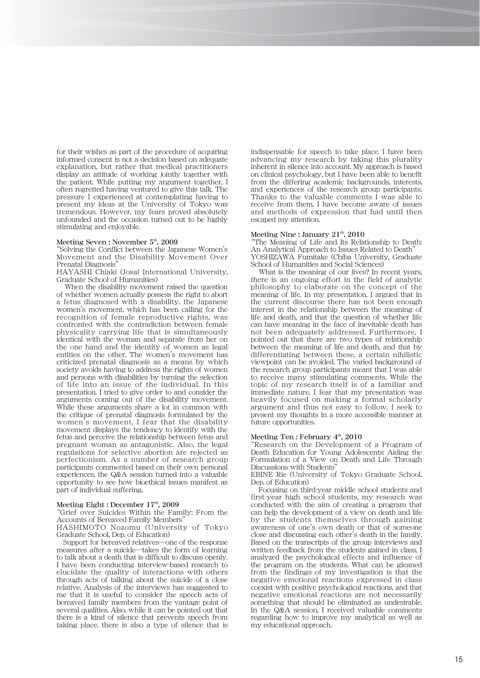for their wishes as part of the procedure of acquiring informed consent is not a decision based on adequate explanation, but rather that medical practitioners display an attitude of working jointly together with the patient. While putting my argument together, I often regretted having ventured to give this talk. The pressure I experienced at contemplating having to present my ideas at the University of Tokyo was tremendous. However, my fears proved absolutely unfounded and the occasion turned out to be highly stimulating and enjoyable.

#### Meeting Seven : November  $5<sup>th</sup>$ , 2009

"Solving the Conflict between the Japanese Women's Movement and the Disability Movement Over Prenatal Diagnosis"

HAYASHI Chiaki (Josai International University, Graduate School of Humanities)

When the disability movement raised the question of whether women actually possess the right to abort a fetus diagnosed with a disability, the Japanese women's movement, which has been calling for the recognition of female reproductive rights, was confronted with the contradiction between female physicality carrying life that is simultaneously identical with the woman and separate from her on the one hand and the identity of women as legal entities on the other. The women's movement has criticized prenatal diagnosis as a means by which society avoids having to address the rights of women and persons with disabilities by turning the selection of life into an issue of the individual. In this presentation, I tried to give order to and consider the arguments coming out of the disability movement. While these arguments share a lot in common with the critique of prenatal diagnosis formulated by the women's movement, I fear that the disability movement displays the tendency to identify with the fetus and perceive the relationship between fetus and pregnant woman as antagonistic. Also, the legal regulations for selective abortion are rejected as perfectionism. As a number of research group participants commented based on their own personal experiences, the Q&A session turned into a valuable opportunity to see how bioethical issues manifest as part of individual suffering.

### Meeting Eight : December 17<sup>th</sup>, 2009

"Grief over Suicides Within the Family: From the Accounts of Bereaved Family Members"

HASHIMOTO Nozomu (University of Tokyo Graduate School, Dep. of Education)

Support for bereaved relatives―one of the response measures after a suicide―takes the form of learning to talk about a death that is difficult to discuss openly. I have been conducting interview-based research to elucidate the quality of interactions with others through acts of talking about the suicide of a close relative. Analysis of the interviews has suggested to me that it is useful to consider the speech acts of bereaved family members from the vantage point of several qualities. Also, while it can be pointed out that there is a kind of silence that prevents speech from taking place, there is also a type of silence that is

indispensable for speech to take place. I have been advancing my research by taking this plurality inherent in silence into account. My approach is based on clinical psychology, but I have been able to benefit from the differing academic backgrounds, interests, and experiences of the research group participants. Thanks to the valuable comments I was able to receive from them, I have become aware of issues and methods of expression that had until then escaped my attention.

### Meeting Nine : January  $21<sup>th</sup>$ ,  $2010$

"The Meaning of Life and Its Relationship to Death: An Analytical Approach to Issues Related to Death" YOSHIZAWA Fumitake (Chiba University, Graduate School of Humanities and Social Sciences)

What is the meaning of our lives? In recent years, there is an ongoing effort in the field of analytic philosophy to elaborate on the concept of the meaning of life. In my presentation, I argued that in the current discourse there has not been enough interest in the relationship between the meaning of life and death, and that the question of whether life can have meaning in the face of inevitable death has not been adequately addressed. Furthermore, I pointed out that there are two types of relationship between the meaning of life and death, and that by differentiating between these, a certain nihilistic viewpoint can be avoided. The varied background of the research group participants meant that I was able to receive many stimulating comments. While the topic of my research itself is of a familiar and immediate nature, I fear that my presentation was heavily focused on making a formal scholarly argument and thus not easy to follow. I seek to present my thoughts in a more accessible manner at future opportunities.

### Meeting Ten : February  $4<sup>th</sup>$ , 2010

"Research on the Development of a Program of Death Education for Young Adolescents: Aiding the Formulation of a View on Death and Life Through Discussions with Students'

EBINE Rie (University of Tokyo Graduate School, Dep. of Education)

Focusing on third-year middle school students and first-year high school students, my research was conducted with the aim of creating a program that can help the development of a view on death and life by the students themselves through gaining awareness of one's own death or that of someone close and discussing each other's death in the family. Based on the transcripts of the group interviews and written feedback from the students gained in class, I analyzed the psychological effects and influence of the program on the students. What can be gleaned from the findings of my investigation is that the negative emotional reactions expressed in class coexist with positive psychological reactions, and that negative emotional reactions are not necessarily something that should be eliminated as undesirable. In the Q&A session, I received valuable comments regarding how to improve my analytical as well as my educational approach.